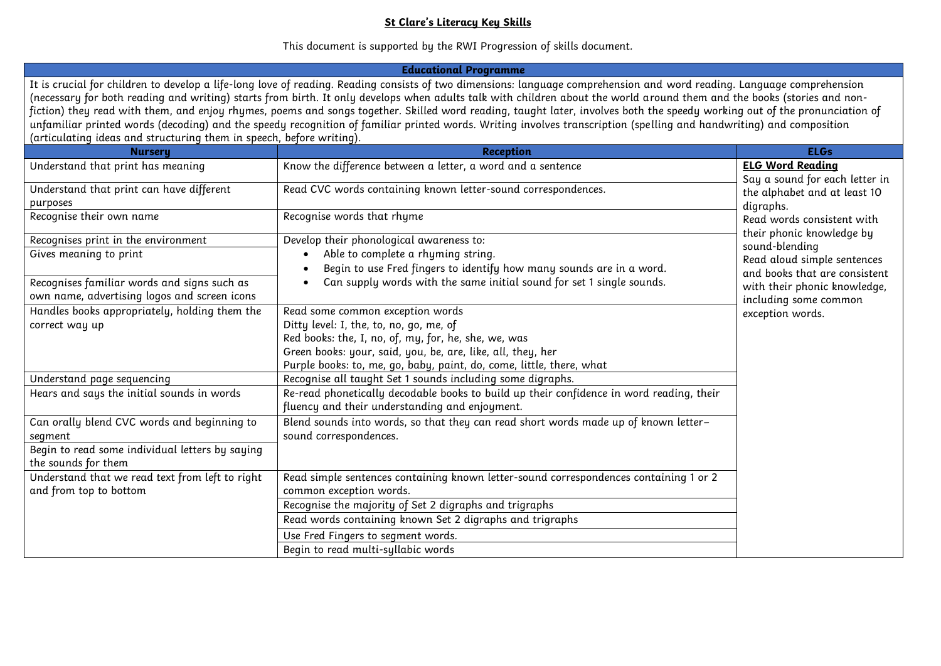## **St Clare's Literacy Key Skills**

This document is supported by the RWI Progression of skills document.

| <b>Educational Programme</b>                                                                                                                                                                                                                                                                                                                                                                                                                                                                                                                                                                                                                                                                                                                                                   |                                                                                                                                                                                                                                                                            |                                                                                                                                                                                                                                                                                                              |  |  |
|--------------------------------------------------------------------------------------------------------------------------------------------------------------------------------------------------------------------------------------------------------------------------------------------------------------------------------------------------------------------------------------------------------------------------------------------------------------------------------------------------------------------------------------------------------------------------------------------------------------------------------------------------------------------------------------------------------------------------------------------------------------------------------|----------------------------------------------------------------------------------------------------------------------------------------------------------------------------------------------------------------------------------------------------------------------------|--------------------------------------------------------------------------------------------------------------------------------------------------------------------------------------------------------------------------------------------------------------------------------------------------------------|--|--|
| It is crucial for children to develop a life-long love of reading. Reading consists of two dimensions: language comprehension and word reading. Language comprehension<br>(necessary for both reading and writing) starts from birth. It only develops when adults talk with children about the world around them and the books (stories and non-<br>fiction) they read with them, and enjoy rhymes, poems and songs together. Skilled word reading, taught later, involves both the speedy working out of the pronunciation of<br>unfamiliar printed words (decoding) and the speedy recognition of familiar printed words. Writing involves transcription (spelling and handwriting) and composition<br>(articulating ideas and structuring them in speech, before writing). |                                                                                                                                                                                                                                                                            |                                                                                                                                                                                                                                                                                                              |  |  |
| <b>Nursery</b>                                                                                                                                                                                                                                                                                                                                                                                                                                                                                                                                                                                                                                                                                                                                                                 | <b>Reception</b>                                                                                                                                                                                                                                                           | <b>ELGs</b>                                                                                                                                                                                                                                                                                                  |  |  |
| Understand that print has meaning                                                                                                                                                                                                                                                                                                                                                                                                                                                                                                                                                                                                                                                                                                                                              | Know the difference between a letter, a word and a sentence                                                                                                                                                                                                                | <b>ELG Word Reading</b><br>Say a sound for each letter in<br>the alphabet and at least 10<br>digraphs.<br>Read words consistent with<br>their phonic knowledge by<br>sound-blending<br>Read aloud simple sentences<br>and books that are consistent<br>with their phonic knowledge,<br>including some common |  |  |
| Understand that print can have different<br>purposes                                                                                                                                                                                                                                                                                                                                                                                                                                                                                                                                                                                                                                                                                                                           | Read CVC words containing known letter-sound correspondences.                                                                                                                                                                                                              |                                                                                                                                                                                                                                                                                                              |  |  |
| Recognise their own name                                                                                                                                                                                                                                                                                                                                                                                                                                                                                                                                                                                                                                                                                                                                                       | Recognise words that rhyme                                                                                                                                                                                                                                                 |                                                                                                                                                                                                                                                                                                              |  |  |
| Recognises print in the environment                                                                                                                                                                                                                                                                                                                                                                                                                                                                                                                                                                                                                                                                                                                                            | Develop their phonological awareness to:                                                                                                                                                                                                                                   |                                                                                                                                                                                                                                                                                                              |  |  |
| Gives meaning to print                                                                                                                                                                                                                                                                                                                                                                                                                                                                                                                                                                                                                                                                                                                                                         | Able to complete a rhyming string.<br>Begin to use Fred fingers to identify how many sounds are in a word.                                                                                                                                                                 |                                                                                                                                                                                                                                                                                                              |  |  |
| Recognises familiar words and signs such as<br>own name, advertising logos and screen icons                                                                                                                                                                                                                                                                                                                                                                                                                                                                                                                                                                                                                                                                                    | Can supply words with the same initial sound for set 1 single sounds.                                                                                                                                                                                                      |                                                                                                                                                                                                                                                                                                              |  |  |
| Handles books appropriately, holding them the<br>correct way up                                                                                                                                                                                                                                                                                                                                                                                                                                                                                                                                                                                                                                                                                                                | Read some common exception words<br>Ditty level: I, the, to, no, go, me, of<br>Red books: the, I, no, of, my, for, he, she, we, was<br>Green books: your, said, you, be, are, like, all, they, her<br>Purple books: to, me, go, baby, paint, do, come, little, there, what | exception words.                                                                                                                                                                                                                                                                                             |  |  |
| Understand page sequencing                                                                                                                                                                                                                                                                                                                                                                                                                                                                                                                                                                                                                                                                                                                                                     | Recognise all taught Set 1 sounds including some digraphs.                                                                                                                                                                                                                 |                                                                                                                                                                                                                                                                                                              |  |  |
| Hears and says the initial sounds in words                                                                                                                                                                                                                                                                                                                                                                                                                                                                                                                                                                                                                                                                                                                                     | Re-read phonetically decodable books to build up their confidence in word reading, their<br>fluency and their understanding and enjoyment.                                                                                                                                 |                                                                                                                                                                                                                                                                                                              |  |  |
| Can orally blend CVC words and beginning to<br>segment<br>Begin to read some individual letters by saying                                                                                                                                                                                                                                                                                                                                                                                                                                                                                                                                                                                                                                                                      | Blend sounds into words, so that they can read short words made up of known letter-<br>sound correspondences.                                                                                                                                                              |                                                                                                                                                                                                                                                                                                              |  |  |
| the sounds for them                                                                                                                                                                                                                                                                                                                                                                                                                                                                                                                                                                                                                                                                                                                                                            |                                                                                                                                                                                                                                                                            |                                                                                                                                                                                                                                                                                                              |  |  |
| Understand that we read text from left to right<br>and from top to bottom                                                                                                                                                                                                                                                                                                                                                                                                                                                                                                                                                                                                                                                                                                      | Read simple sentences containing known letter-sound correspondences containing 1 or 2<br>common exception words.                                                                                                                                                           |                                                                                                                                                                                                                                                                                                              |  |  |
|                                                                                                                                                                                                                                                                                                                                                                                                                                                                                                                                                                                                                                                                                                                                                                                | Recognise the majority of Set 2 digraphs and trigraphs                                                                                                                                                                                                                     |                                                                                                                                                                                                                                                                                                              |  |  |
|                                                                                                                                                                                                                                                                                                                                                                                                                                                                                                                                                                                                                                                                                                                                                                                | Read words containing known Set 2 digraphs and trigraphs                                                                                                                                                                                                                   |                                                                                                                                                                                                                                                                                                              |  |  |
|                                                                                                                                                                                                                                                                                                                                                                                                                                                                                                                                                                                                                                                                                                                                                                                | Use Fred Fingers to segment words.                                                                                                                                                                                                                                         |                                                                                                                                                                                                                                                                                                              |  |  |
|                                                                                                                                                                                                                                                                                                                                                                                                                                                                                                                                                                                                                                                                                                                                                                                | Begin to read multi-syllabic words                                                                                                                                                                                                                                         |                                                                                                                                                                                                                                                                                                              |  |  |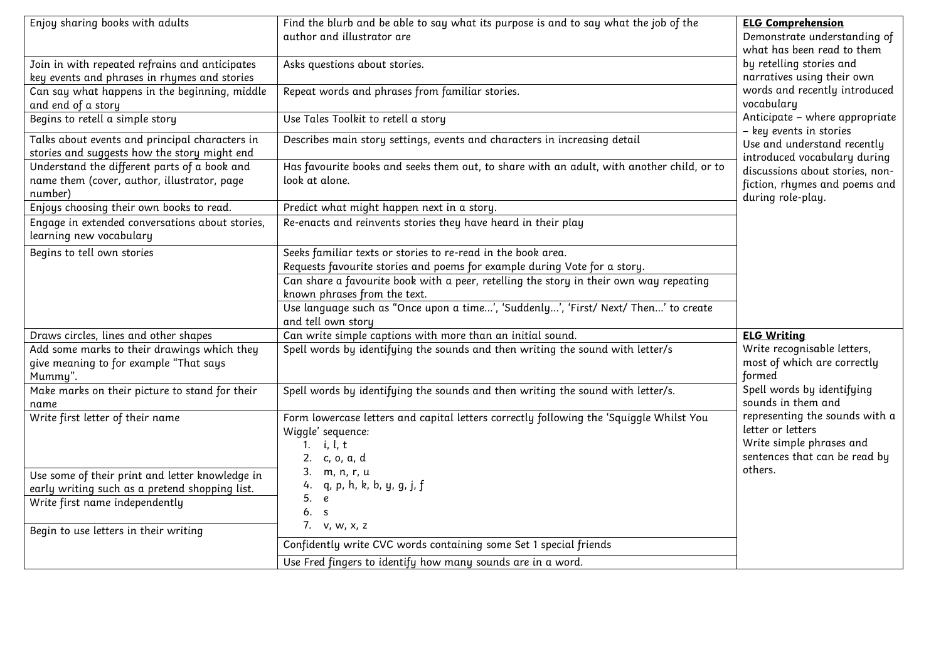| Enjoy sharing books with adults                                                                        | Find the blurb and be able to say what its purpose is and to say what the job of the<br>author and illustrator are                                    | <b>ELG Comprehension</b><br>Demonstrate understanding of<br>what has been read to them                           |
|--------------------------------------------------------------------------------------------------------|-------------------------------------------------------------------------------------------------------------------------------------------------------|------------------------------------------------------------------------------------------------------------------|
| Join in with repeated refrains and anticipates<br>key events and phrases in rhymes and stories         | Asks questions about stories.                                                                                                                         | by retelling stories and<br>narratives using their own                                                           |
| Can say what happens in the beginning, middle<br>and end of a story                                    | Repeat words and phrases from familiar stories.                                                                                                       | words and recently introduced<br>vocabulary                                                                      |
| Begins to retell a simple story                                                                        | Use Tales Toolkit to retell a story                                                                                                                   | Anticipate - where appropriate<br>– key events in stories                                                        |
| Talks about events and principal characters in<br>stories and suggests how the story might end         | Describes main story settings, events and characters in increasing detail                                                                             | Use and understand recently<br>introduced vocabulary during                                                      |
| Understand the different parts of a book and<br>name them (cover, author, illustrator, page<br>number) | Has favourite books and seeks them out, to share with an adult, with another child, or to<br>look at alone.                                           | discussions about stories, non-<br>fiction, rhymes and poems and<br>during role-play.                            |
| Enjoys choosing their own books to read.                                                               | Predict what might happen next in a story.                                                                                                            |                                                                                                                  |
| Engage in extended conversations about stories,<br>learning new vocabulary                             | Re-enacts and reinvents stories they have heard in their play                                                                                         |                                                                                                                  |
| Begins to tell own stories                                                                             | Seeks familiar texts or stories to re-read in the book area.<br>Requests favourite stories and poems for example during Vote for a story.             |                                                                                                                  |
|                                                                                                        | Can share a favourite book with a peer, retelling the story in their own way repeating<br>known phrases from the text.                                |                                                                                                                  |
|                                                                                                        | Use language such as "Once upon a time', 'Suddenly', 'First/ Next/ Then' to create<br>and tell own story                                              |                                                                                                                  |
| Draws circles, lines and other shapes                                                                  | Can write simple captions with more than an initial sound.                                                                                            | <b>ELG Writing</b>                                                                                               |
| Add some marks to their drawings which they<br>give meaning to for example "That says<br>Mummy".       | Spell words by identifying the sounds and then writing the sound with letter/s                                                                        | Write recognisable letters,<br>most of which are correctly<br>formed                                             |
| Make marks on their picture to stand for their<br>name                                                 | Spell words by identifying the sounds and then writing the sound with letter/s.                                                                       | Spell words by identifying<br>sounds in them and                                                                 |
| Write first letter of their name                                                                       | Form lowercase letters and capital letters correctly following the 'Squiggle Whilst You<br>Wiggle' sequence:<br>1. <i>i</i> , $l, t$<br>2. c, o, a, d | representing the sounds with a<br>letter or letters<br>Write simple phrases and<br>sentences that can be read by |
| Use some of their print and letter knowledge in                                                        | 3. m, n, r, u                                                                                                                                         | others.                                                                                                          |
| early writing such as a pretend shopping list.                                                         | 4. q, p, h, k, b, y, g, j, f<br>5. e                                                                                                                  |                                                                                                                  |
| Write first name independently                                                                         | 6. s                                                                                                                                                  |                                                                                                                  |
| Begin to use letters in their writing                                                                  | 7. v, w, x, z                                                                                                                                         |                                                                                                                  |
|                                                                                                        | Confidently write CVC words containing some Set 1 special friends                                                                                     |                                                                                                                  |
|                                                                                                        | Use Fred fingers to identify how many sounds are in a word.                                                                                           |                                                                                                                  |